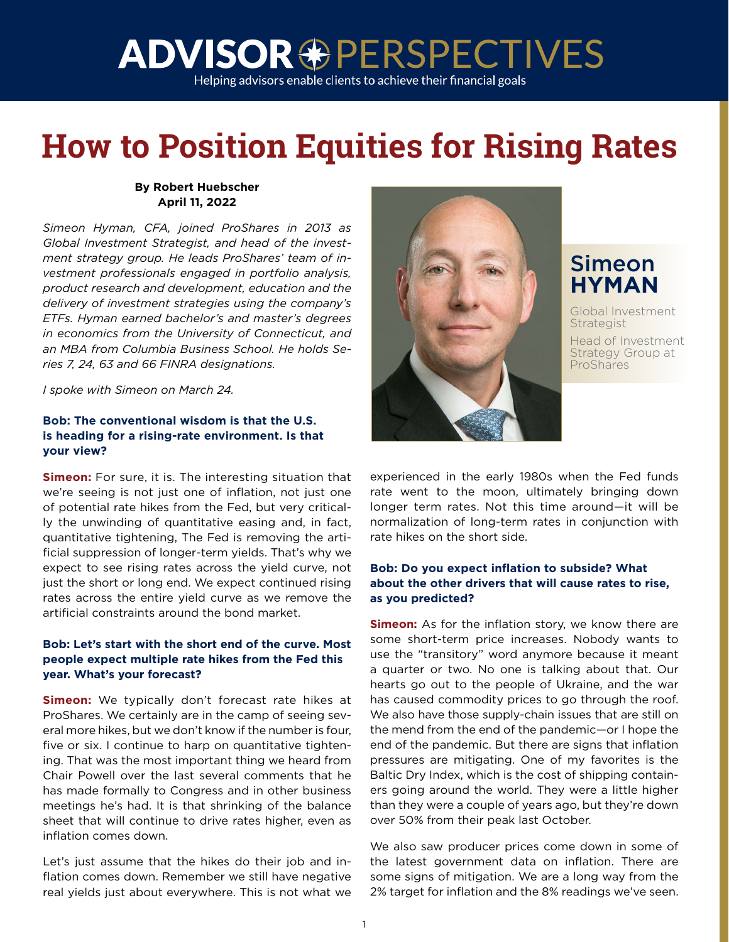Helping advisors enable clients to achieve their financial goals

### **How to Position Equities for Rising Rates**

#### **By Robert Huebscher April 11, 2022**

*Simeon Hyman, CFA, joined ProShares in 2013 as Global Investment Strategist, and head of the investment strategy group. He leads ProShares' team of investment professionals engaged in portfolio analysis, product research and development, education and the delivery of investment strategies using the company's ETFs. Hyman earned bachelor's and master's degrees in economics from the University of Connecticut, and an MBA from Columbia Business School. He holds Series 7, 24, 63 and 66 FINRA designations.*

*I spoke with Simeon on March 24.*

#### **Bob: The conventional wisdom is that the U.S. is heading for a rising-rate environment. Is that your view?**

**Simeon:** For sure, it is. The interesting situation that we're seeing is not just one of inflation, not just one of potential rate hikes from the Fed, but very critically the unwinding of quantitative easing and, in fact, quantitative tightening, The Fed is removing the artificial suppression of longer-term yields. That's why we expect to see rising rates across the yield curve, not just the short or long end. We expect continued rising rates across the entire yield curve as we remove the artificial constraints around the bond market.

#### **Bob: Let's start with the short end of the curve. Most people expect multiple rate hikes from the Fed this year. What's your forecast?**

**Simeon:** We typically don't forecast rate hikes at ProShares. We certainly are in the camp of seeing several more hikes, but we don't know if the number is four, five or six. I continue to harp on quantitative tightening. That was the most important thing we heard from Chair Powell over the last several comments that he has made formally to Congress and in other business meetings he's had. It is that shrinking of the balance sheet that will continue to drive rates higher, even as inflation comes down.

Let's just assume that the hikes do their job and inflation comes down. Remember we still have negative real yields just about everywhere. This is not what we



### Simeon **HYMAN**

Global Investment **Strategist** Head of Investment

Strategy Group at **ProShares** 

experienced in the early 1980s when the Fed funds rate went to the moon, ultimately bringing down longer term rates. Not this time around—it will be normalization of long-term rates in conjunction with rate hikes on the short side.

#### **Bob: Do you expect inflation to subside? What about the other drivers that will cause rates to rise, as you predicted?**

**Simeon:** As for the inflation story, we know there are some short-term price increases. Nobody wants to use the "transitory" word anymore because it meant a quarter or two. No one is talking about that. Our hearts go out to the people of Ukraine, and the war has caused commodity prices to go through the roof. We also have those supply-chain issues that are still on the mend from the end of the pandemic—or I hope the end of the pandemic. But there are signs that inflation pressures are mitigating. One of my favorites is the Baltic Dry Index, which is the cost of shipping containers going around the world. They were a little higher than they were a couple of years ago, but they're down over 50% from their peak last October.

We also saw producer prices come down in some of the latest government data on inflation. There are some signs of mitigation. We are a long way from the 2% target for inflation and the 8% readings we've seen.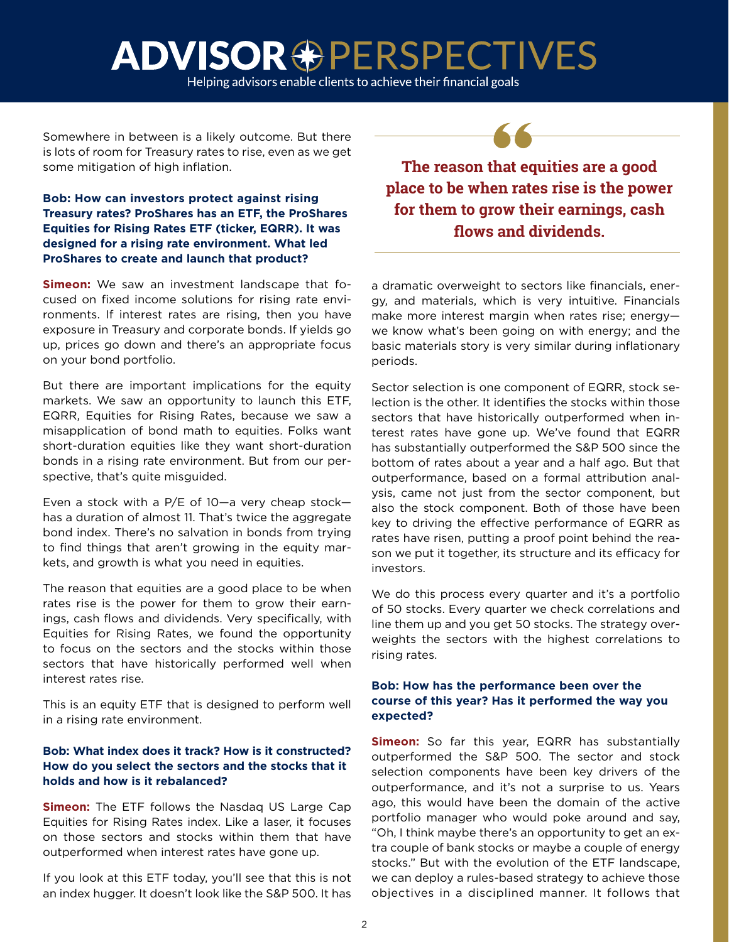Helping advisors enable clients to achieve their financial goals

Somewhere in between is a likely outcome. But there is lots of room for Treasury rates to rise, even as we get some mitigation of high inflation.

#### **Bob: How can investors protect against rising Treasury rates? ProShares has an ETF, the ProShares Equities for Rising Rates ETF (ticker, EQRR). It was designed for a rising rate environment. What led ProShares to create and launch that product?**

**Simeon:** We saw an investment landscape that focused on fixed income solutions for rising rate environments. If interest rates are rising, then you have exposure in Treasury and corporate bonds. If yields go up, prices go down and there's an appropriate focus on your bond portfolio.

But there are important implications for the equity markets. We saw an opportunity to launch this ETF, EQRR, Equities for Rising Rates, because we saw a misapplication of bond math to equities. Folks want short-duration equities like they want short-duration bonds in a rising rate environment. But from our perspective, that's quite misguided.

Even a stock with a P/E of 10—a very cheap stock has a duration of almost 11. That's twice the aggregate bond index. There's no salvation in bonds from trying to find things that aren't growing in the equity markets, and growth is what you need in equities.

The reason that equities are a good place to be when rates rise is the power for them to grow their earnings, cash flows and dividends. Very specifically, with Equities for Rising Rates, we found the opportunity to focus on the sectors and the stocks within those sectors that have historically performed well when interest rates rise.

This is an equity ETF that is designed to perform well in a rising rate environment.

#### **Bob: What index does it track? How is it constructed? How do you select the sectors and the stocks that it holds and how is it rebalanced?**

**Simeon:** The ETF follows the Nasdag US Large Cap Equities for Rising Rates index. Like a laser, it focuses on those sectors and stocks within them that have outperformed when interest rates have gone up.

If you look at this ETF today, you'll see that this is not an index hugger. It doesn't look like the S&P 500. It has

**The reason that equities are a good place to be when rates rise is the power for them to grow their earnings, cash flows and dividends.**

a dramatic overweight to sectors like financials, energy, and materials, which is very intuitive. Financials make more interest margin when rates rise; energy we know what's been going on with energy; and the basic materials story is very similar during inflationary periods.

Sector selection is one component of EQRR, stock selection is the other. It identifies the stocks within those sectors that have historically outperformed when interest rates have gone up. We've found that EQRR has substantially outperformed the S&P 500 since the bottom of rates about a year and a half ago. But that outperformance, based on a formal attribution analysis, came not just from the sector component, but also the stock component. Both of those have been key to driving the effective performance of EQRR as rates have risen, putting a proof point behind the reason we put it together, its structure and its efficacy for investors.

We do this process every quarter and it's a portfolio of 50 stocks. Every quarter we check correlations and line them up and you get 50 stocks. The strategy overweights the sectors with the highest correlations to rising rates.

#### **Bob: How has the performance been over the course of this year? Has it performed the way you expected?**

**Simeon:** So far this year, EQRR has substantially outperformed the S&P 500. The sector and stock selection components have been key drivers of the outperformance, and it's not a surprise to us. Years ago, this would have been the domain of the active portfolio manager who would poke around and say, "Oh, I think maybe there's an opportunity to get an extra couple of bank stocks or maybe a couple of energy stocks." But with the evolution of the ETF landscape, we can deploy a rules-based strategy to achieve those objectives in a disciplined manner. It follows that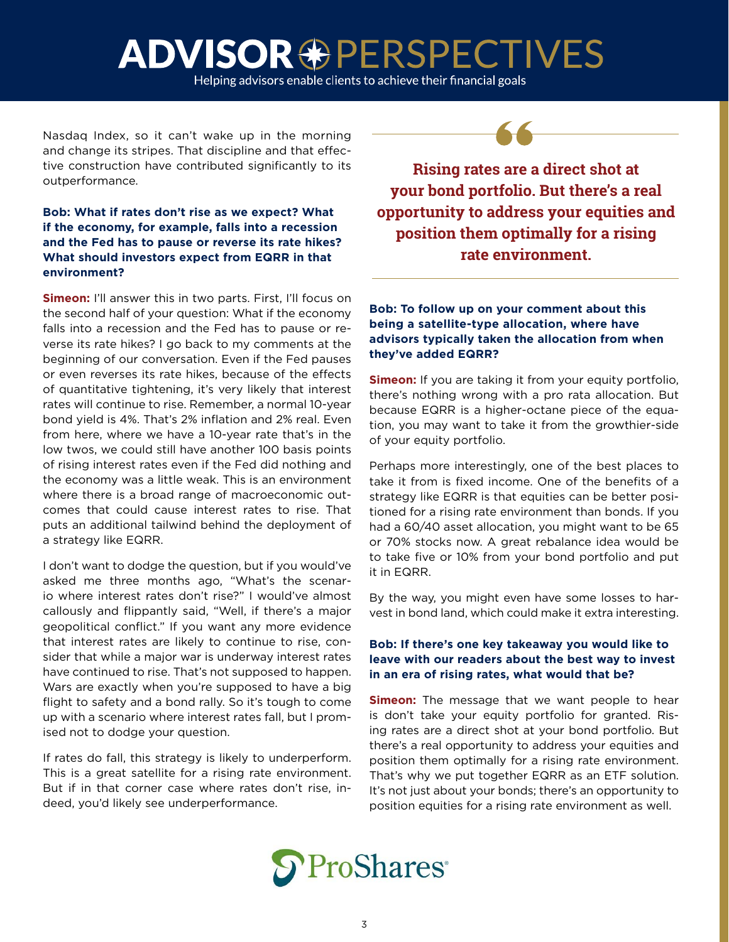Helping advisors enable clients to achieve their financial goals

Nasdaq Index, so it can't wake up in the morning and change its stripes. That discipline and that effective construction have contributed significantly to its outperformance.

#### **Bob: What if rates don't rise as we expect? What if the economy, for example, falls into a recession and the Fed has to pause or reverse its rate hikes? What should investors expect from EQRR in that environment?**

**Simeon:** I'll answer this in two parts. First, I'll focus on the second half of your question: What if the economy falls into a recession and the Fed has to pause or reverse its rate hikes? I go back to my comments at the beginning of our conversation. Even if the Fed pauses or even reverses its rate hikes, because of the effects of quantitative tightening, it's very likely that interest rates will continue to rise. Remember, a normal 10-year bond yield is 4%. That's 2% inflation and 2% real. Even from here, where we have a 10-year rate that's in the low twos, we could still have another 100 basis points of rising interest rates even if the Fed did nothing and the economy was a little weak. This is an environment where there is a broad range of macroeconomic outcomes that could cause interest rates to rise. That puts an additional tailwind behind the deployment of a strategy like EQRR.

I don't want to dodge the question, but if you would've asked me three months ago, "What's the scenario where interest rates don't rise?" I would've almost callously and flippantly said, "Well, if there's a major geopolitical conflict." If you want any more evidence that interest rates are likely to continue to rise, consider that while a major war is underway interest rates have continued to rise. That's not supposed to happen. Wars are exactly when you're supposed to have a big flight to safety and a bond rally. So it's tough to come up with a scenario where interest rates fall, but I promised not to dodge your question.

If rates do fall, this strategy is likely to underperform. This is a great satellite for a rising rate environment. But if in that corner case where rates don't rise, indeed, you'd likely see underperformance.

**Rising rates are a direct shot at your bond portfolio. But there's a real opportunity to address your equities and position them optimally for a rising rate environment.**

**Bob: To follow up on your comment about this being a satellite-type allocation, where have advisors typically taken the allocation from when they've added EQRR?**

**Simeon:** If you are taking it from your equity portfolio, there's nothing wrong with a pro rata allocation. But because EQRR is a higher-octane piece of the equation, you may want to take it from the growthier-side of your equity portfolio.

Perhaps more interestingly, one of the best places to take it from is fixed income. One of the benefits of a strategy like EQRR is that equities can be better positioned for a rising rate environment than bonds. If you had a 60/40 asset allocation, you might want to be 65 or 70% stocks now. A great rebalance idea would be to take five or 10% from your bond portfolio and put it in EQRR.

By the way, you might even have some losses to harvest in bond land, which could make it extra interesting.

#### **Bob: If there's one key takeaway you would like to leave with our readers about the best way to invest in an era of rising rates, what would that be?**

**Simeon:** The message that we want people to hear is don't take your equity portfolio for granted. Rising rates are a direct shot at your bond portfolio. But there's a real opportunity to address your equities and position them optimally for a rising rate environment. That's why we put together EQRR as an ETF solution. It's not just about your bonds; there's an opportunity to position equities for a rising rate environment as well.